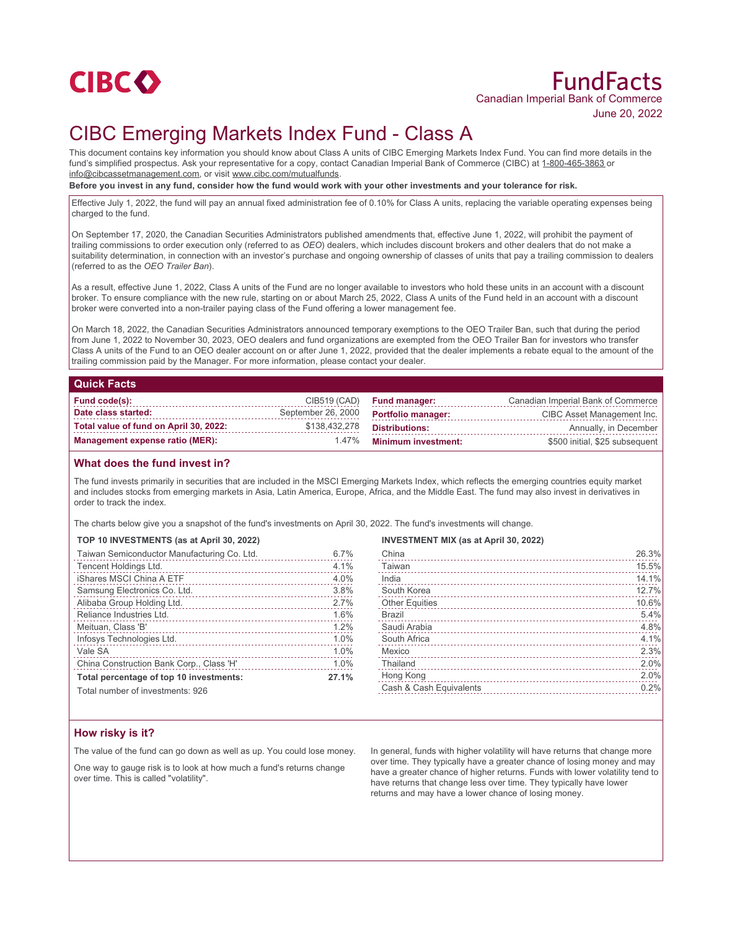

# FundFacts Canadian Imperial Bank of Commerce June 20, 2022

# CIBC Emerging Markets Index Fund - Class A

This document contains key information you should know about Class A units of CIBC Emerging Markets Index Fund. You can find more details in the fund's simplified prospectus. Ask your representative for a copy, contact Canadian Imperial Bank of Commerce (CIBC) at 1-800-465-3863 or info@cibcassetmanagement.com, or visit www.cibc.com/mutualfunds.

**Before you invest in any fund, consider how the fund would work with your other investments and your tolerance for risk.**

Effective July 1, 2022, the fund will pay an annual fixed administration fee of 0.10% for Class A units, replacing the variable operating expenses being charged to the fund.

On September 17, 2020, the Canadian Securities Administrators published amendments that, effective June 1, 2022, will prohibit the payment of trailing commissions to order execution only (referred to as *OEO*) dealers, which includes discount brokers and other dealers that do not make a suitability determination, in connection with an investor's purchase and ongoing ownership of classes of units that pay a trailing commission to dealers (referred to as the *OEO Trailer Ban*).

As a result, effective June 1, 2022, Class A units of the Fund are no longer available to investors who hold these units in an account with a discount broker. To ensure compliance with the new rule, starting on or about March 25, 2022, Class A units of the Fund held in an account with a discount broker were converted into a non-trailer paying class of the Fund offering a lower management fee.

On March 18, 2022, the Canadian Securities Administrators announced temporary exemptions to the OEO Trailer Ban, such that during the period from June 1, 2022 to November 30, 2023, OEO dealers and fund organizations are exempted from the OEO Trailer Ban for investors who transfer Class A units of the Fund to an OEO dealer account on or after June 1, 2022, provided that the dealer implements a rebate equal to the amount of the trailing commission paid by the Manager. For more information, please contact your dealer.

| <b>Quick Facts</b>                     |                    |                            |                                    |
|----------------------------------------|--------------------|----------------------------|------------------------------------|
| <b>Fund code(s):</b>                   | CIB519 (CAD)       | <b>Fund manager:</b>       | Canadian Imperial Bank of Commerce |
| Date class started:                    | September 26, 2000 | <b>Portfolio manager:</b>  | CIBC Asset Management Inc.         |
| Total value of fund on April 30, 2022: | \$138,432,278      | <b>Distributions:</b>      | Annually, in December              |
| <b>Management expense ratio (MER):</b> | $1.47\%$           | <b>Minimum investment:</b> | \$500 initial, \$25 subsequent     |

## **What does the fund invest in?**

The fund invests primarily in securities that are included in the MSCI Emerging Markets Index, which reflects the emerging countries equity market and includes stocks from emerging markets in Asia, Latin America, Europe, Africa, and the Middle East. The fund may also invest in derivatives in order to track the index.

The charts below give you a snapshot of the fund's investments on April 30, 2022. The fund's investments will change.

### **TOP 10 INVESTMENTS (as at April 30, 2022)**

| Taiwan Semiconductor Manufacturing Co. Ltd.<br>. | 6.7%  |
|--------------------------------------------------|-------|
| Tencent Holdings Ltd.                            | 4.1%  |
| iShares MSCI China A ETF                         | 4.0%  |
| Samsung Electronics Co. Ltd.                     | 3.8%  |
| Alibaba Group Holding Ltd.                       | 2.7%  |
| Reliance Industries Ltd.                         | 1.6%  |
| Meituan, Class 'B'                               | 1.2%  |
| Infosys Technologies Ltd.                        | 1.0%  |
| Vale SA                                          | 1.0%  |
| China Construction Bank Corp., Class 'H'         | 1.0%  |
| Total percentage of top 10 investments:          | 27.1% |

## **INVESTMENT MIX (as at April 30, 2022)**

| China                   | 26.3% |
|-------------------------|-------|
| Taiwan                  | 15.5% |
| India                   | 14.1% |
| South Korea             | 12.7% |
| <b>Other Equities</b>   | 10.6% |
| <b>Brazil</b>           | 5.4%  |
| Saudi Arabia            | 4.8%  |
| South Africa            | 4.1%  |
| Mexico                  | 2.3%  |
| Thailand                | 2.0%  |
| Hong Kong               | 2.0%  |
| Cash & Cash Equivalents | 0.2%  |
|                         |       |

Total number of investments: 926

## **How risky is it?**

The value of the fund can go down as well as up. You could lose money.

One way to gauge risk is to look at how much a fund's returns change over time. This is called "volatility".

In general, funds with higher volatility will have returns that change more over time. They typically have a greater chance of losing money and may have a greater chance of higher returns. Funds with lower volatility tend to have returns that change less over time. They typically have lower returns and may have a lower chance of losing money.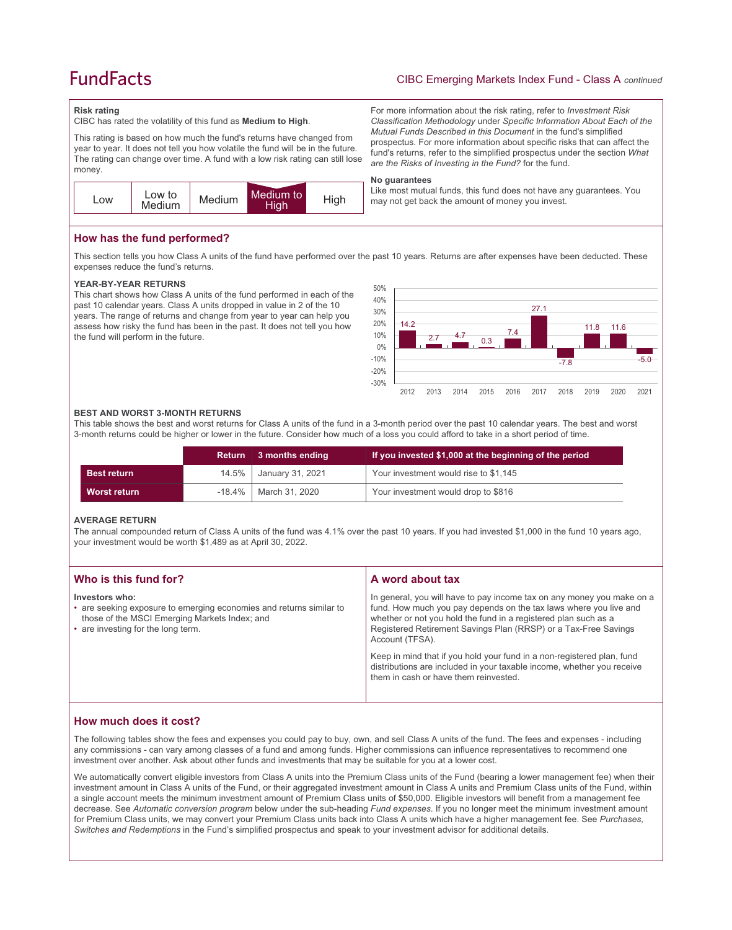# **FundFacts**

# CIBC Emerging Markets Index Fund - Class A *continued*

For more information about the risk rating, refer to *Investment Risk Classification Methodology* under *Specific Information About Each of the Mutual Funds Described in this Document* in the fund's simplified prospectus. For more information about specific risks that can affect the fund's returns, refer to the simplified prospectus under the section *What* 

Like most mutual funds, this fund does not have any guarantees. You

*are the Risks of Investing in the Fund?* for the fund.

may not get back the amount of money you invest.

### **Risk rating**

CIBC has rated the volatility of this fund as **Medium to High**.

This rating is based on how much the fund's returns have changed from year to year. It does not tell you how volatile the fund will be in the future. The rating can change over time. A fund with a low risk rating can still lose money.



**How has the fund performed?**

This section tells you how Class A units of the fund have performed over the past 10 years. Returns are after expenses have been deducted. These expenses reduce the fund's returns.

**No guarantees**

### **YEAR-BY-YEAR RETURNS**

This chart shows how Class A units of the fund performed in each of the past 10 calendar years. Class A units dropped in value in 2 of the 10 years. The range of returns and change from year to year can help you assess how risky the fund has been in the past. It does not tell you how the fund will perform in the future.



### **BEST AND WORST 3-MONTH RETURNS**

This table shows the best and worst returns for Class A units of the fund in a 3-month period over the past 10 calendar years. The best and worst 3-month returns could be higher or lower in the future. Consider how much of a loss you could afford to take in a short period of time.

|                    |           | Return $\vert$ 3 months ending | If you invested \$1,000 at the beginning of the period |
|--------------------|-----------|--------------------------------|--------------------------------------------------------|
| <b>Best return</b> | $14.5\%$  | January 31, 2021               | Your investment would rise to \$1,145                  |
| Worst return       | $-18.4\%$ | │ March 31. 2020               | Your investment would drop to \$816                    |

### **AVERAGE RETURN**

The annual compounded return of Class A units of the fund was 4.1% over the past 10 years. If you had invested \$1,000 in the fund 10 years ago, your investment would be worth \$1,489 as at April 30, 2022.

| Who is this fund for?                                                                                                                                                        | A word about tax                                                                                                                                                                                                                                                                                     |  |
|------------------------------------------------------------------------------------------------------------------------------------------------------------------------------|------------------------------------------------------------------------------------------------------------------------------------------------------------------------------------------------------------------------------------------------------------------------------------------------------|--|
| Investors who:<br>• are seeking exposure to emerging economies and returns similar to<br>those of the MSCI Emerging Markets Index; and<br>• are investing for the long term. | In general, you will have to pay income tax on any money you make on a<br>fund. How much you pay depends on the tax laws where you live and<br>whether or not you hold the fund in a registered plan such as a<br>Registered Retirement Savings Plan (RRSP) or a Tax-Free Savings<br>Account (TFSA). |  |
|                                                                                                                                                                              | Keep in mind that if you hold your fund in a non-registered plan, fund<br>distributions are included in your taxable income, whether you receive<br>them in cash or have them reinvested.                                                                                                            |  |

## **How much does it cost?**

The following tables show the fees and expenses you could pay to buy, own, and sell Class A units of the fund. The fees and expenses - including any commissions - can vary among classes of a fund and among funds. Higher commissions can influence representatives to recommend one investment over another. Ask about other funds and investments that may be suitable for you at a lower cost.

We automatically convert eligible investors from Class A units into the Premium Class units of the Fund (bearing a lower management fee) when their investment amount in Class A units of the Fund, or their aggregated investment amount in Class A units and Premium Class units of the Fund, within a single account meets the minimum investment amount of Premium Class units of \$50,000. Eligible investors will benefit from a management fee decrease. See *Automatic conversion program* below under the sub-heading *Fund expenses*. If you no longer meet the minimum investment amount for Premium Class units, we may convert your Premium Class units back into Class A units which have a higher management fee. See *Purchases, Switches and Redemptions* in the Fund's simplified prospectus and speak to your investment advisor for additional details.